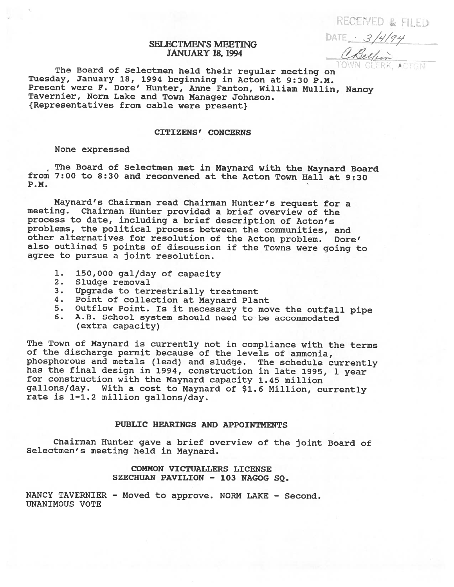RECEIVED & FILED

SELECTMEN'S MEETING DATE 3/4/94 **JANUARY 18, 1994** 

The Board of Selectmen held their regular meeting on TOWN CLERK, ACTON Tuesday, January 18, <sup>1994</sup> beginning in Acton at 9:30 P.M. Present were F. Dore' Hunter, Anne Fanton, William Mullin, Nancy Tavernier, Norm Lake and Town Manager Johnson. {Representatives from cable were present}

# CITIZENS' CONCERNS

#### None expressed

The Board of Selectmen met in Maynard with the Maynard Board from 7:00 to 8:30 and reconvened at the Acton Town Hall at 9:30 P.M.

Maynard's Chairman read Chairman Hunter's request for <sup>a</sup> meeting. Chairman Hunter provided <sup>a</sup> brief overview of the process to date, including <sup>a</sup> brief description of Acton's problems, the political process between the communities, and other alternatives for resolution of the Acton problem. Dore' also outlined <sup>5</sup> points of discussion if the Towns were going to agree to pursue <sup>a</sup> joint resolution.

- 1. 150,000 gal/day of capacity<br>2. Sludge removal
- Sludge removal
- 3. Upgrade to terrestrially treatment
- 4. Point of collection at Maynard Plant
- 5. Outflow Point. Is it necessary to move the outfall <sup>p</sup>ipe
- 6. A.B. School system should need to be accommodated (extra capacity)

The Town of Maynard is currently not in compliance with the terms of the discharge permit because of the levels of ammonia, <sup>p</sup>hosphorous and metals (lead) and sludge. The schedule currently has the final design in 1994, construction in late 1995, <sup>1</sup> year for construction with the Maynard capacity 1.45 million gallons/day. With <sup>a</sup> cost to Maynard of \$1.6 Million, currently rate is 1—1.2 million gallons/day.

## PUBLIC HEARINGS AND APPOINTMENTS

Chairman Hunter gave <sup>a</sup> brief overview of the joint Board of Selectmen's meeting held in Maynard.

# COMMON VICTUALLERS LICENSE SZECHUAN PAVILION - 103 NAGOG SQ.

NANCY TAVERNIER - Moved to approve. NORM LAKE - Second. UNANIMOUS VOTE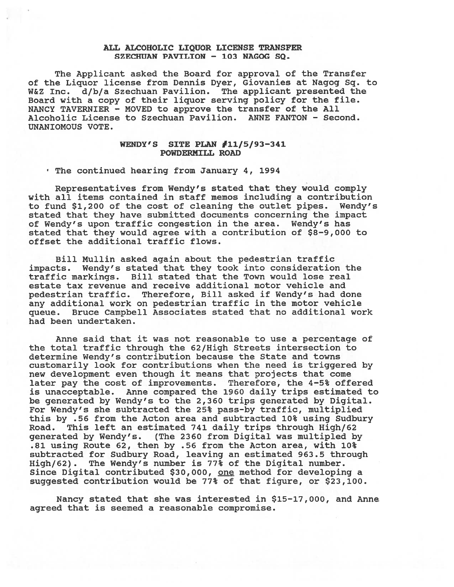## ALL ALCOHOLIC LIQUOR LICENSE TRANSFER SZECHUAN PAVILION - 103 NAGOG SQ.

The Applicant asked the Board for approval of the Transfer of the Liquor license from Dennis Dyer, Giovanies at Nagog Sq. to W&Z Inc. d/b/a Szechuan Pavilion. The applicant presented the Board with <sup>a</sup> copy of their liquor serving policy for the file. NANCY TAVERNIER - MOVED to approve the transfer of the All Alcoholic License to Szechuan Pavilion. ANNE FANTON - Second. UNANIOMOUS VOTE.

## WENDY'S SITE PLAN  $\sharp$ 11/5/93-341 POWDERMILL ROAD

The continued hearing from January 4, 1994

Representatives from Wendy's stated that they would comply with all items contained in staff memos including <sup>a</sup> contribution to fund \$1,200 of the cost of cleaning the outlet pipes. Wendy's stated that they have submitted documents concerning the impact of Wendy's upon traffic congestion in the area. Wendy's has stated that they would agree with <sup>a</sup> contribution of \$8-9,000 to offset the additional traffic flows.

Bill Mullin asked again about the pedestrian traffic impacts. Wendy's stated that they took into consideration the traffic markings. Bill stated that the Town would lose real estate tax revenue and receive additional motor vehicle and pedestrian traffic. Therefore, Bill asked if Wendy's had done any additional work on pedestrian traffic in the motor vehicle queue. Bruce Campbell Associates stated that no additional work had been undertaken.

Anne said that it was not reasonable to use <sup>a</sup> percentage of the total traffic through the 62/High Streets intersection to determine Wendy's contribution because the State and towns customarily look for contributions when the need is triggered by new development even though it means that projects that come later pay the cost of improvements. Therefore, the 4—5% offered is unacceptable. Anne compared the 1960 daily trips estimated to be generated by Wendy's to the 2,360 trips generated by Digital. For Wendy's she subtracted the 25% pass-by traffic, multiplied this by .56 from the Acton area and subtracted 10% using Sudbury Road. This left an estimated 741 daily trips through High/62 generated by Wendy's. (The 2360 from Digital was multipled by .81 using Route 62, then by .56 from the Acton area, with 10% subtracted for Sudbury Road, leaving an estimated 963.5 through High/62). The Wendy's number is 77% of the Digital number. Since Digital contributed \$30,000, one method for developing a suggested contribution would be 77% of that figure, or \$23,100.

Nancy stated that she was interested in \$15-17,000, and Anne agreed that is seemed <sup>a</sup> reasonable compromise.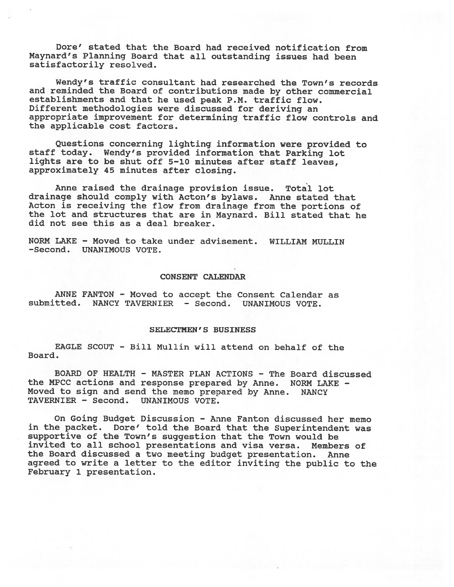Dore' stated that the Board had received notification from Maynard's Planning Board that all outstanding issues had been satisfactorily resolved.

Wendy's traffic consultant had researched the Town's records and reminded the Board of contributions made by other commercial establishments and that he used peak P.M. traffic flow. Different methodologies were discussed for deriving an appropriate improvement for determining traffic flow controls and the applicable cost factors.

Questions concerning lighting information were provided to staff today. Wendy's provided information that Parking lot lights are to be shut off 5—10 minutes after staff leaves, approximately 45 minutes after closing.

Anne raised the drainage provision issue. Total lot drainage should comply with Acton's bylaws. Anne stated that Acton is receiving the flow from drainage from the portions of the lot and structures that are in Maynard. Bill stated that he did not see this as <sup>a</sup> deal breaker.

NORM LAKE - Moved to take under advisement. WILLIAM MULLIN -Second. UNANIMOUS VOTE.

## CONSENT CALENDAR

ANNE FANTON - Moved to accept the Consent Calendar as submitted. NANCY TAVERNIER - Second. UNANIMOUS VOTE.

## SELECTMEN'S BUSINESS

EAGLE SCOUT - Bill Mullin will attend on behalf of the Board.

BOARD OF HEALTH - MASTER PLAN ACTIONS - The Board discussed the MPCC actions and response prepared by Anne. NORM LAKE - Moved to sign and send the memo prepared by Anne. NANCY TAVERNIER — Second. UNANIMOUS VOTE.

On Going Budget Discussion — Anne Fanton discussed her memo in the packet. Dore' told the Board that the Superintendent was supportive of the Town's suggestion that the Town would be invited to all school presentations and visa versa. Members of the Board discussed <sup>a</sup> two meeting budget presentation. Anne agreed to write <sup>a</sup> letter to the editor inviting the public to the February 1 presentation.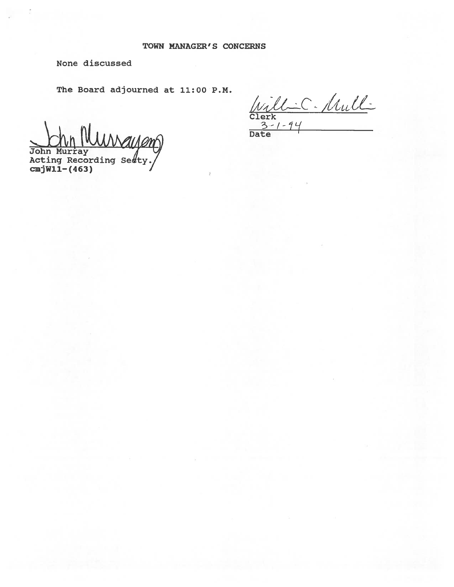None discussed

The Board adjourned at 11:00 P.M.

 $\sum_{\text{John Murray}}$ Acting Recording Se#ty.

cmjWll—f463)

Will-C. Mull-Clerk  $2 - 1 - 9$ 

Date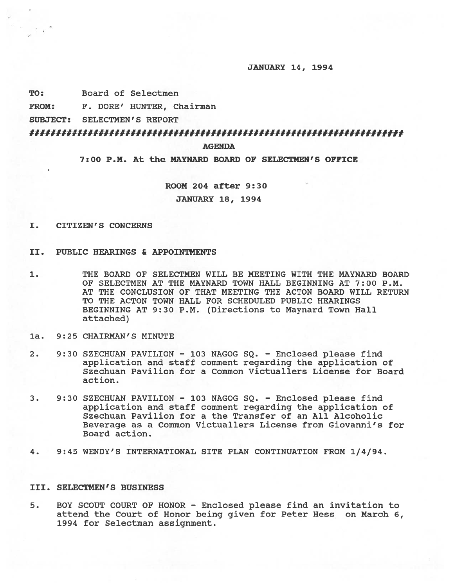#### JANUARY 14, 1994

TO: Board of Selectmen

FROM: F. DORE' HUNTER, Chairman

SUBJECT: SELECTMEN'S REPORT

# II##III##II#IuI###II#Ilfff#IIffII#flf##IIIIIIIII#f#fI#######I#I#fIII##

AGENDA

7:00 P.M. At the MAYNARD BOARD OF SELECTMEN'S OFFICE

ROOM 204 after 9:30

JANUARY 18, 1994

- I. CITIZEN'S CONCERNS
- II. PUBLIC HEARINGS & APPOINTMENTS
- 1. THE BOARD OF SELECTMEN WILL BE MEETING WITH THE MAYNARD BOARD OF SELECTMEN AT THE MAYNARD TOWN HALL BEGINNING AT 7:00 P.M. AT THE CONCLUSION OF THAT MEETING THE ACTON BOARD WILL RETURN TO THE ACTON TOWN HALL FOR SCHEDULED PUBLIC HEARINGS BEGINNING AT 9:30 P.M. (Directions to Maynard Town Hall attached)
- la. 9:25 CHAIRMAN'S MINUTE
- 2. 9:30 SZECHUAN PAVILION 103 NAGOG SQ. Enclosed please find application and staff comment regarding the application of Szechuan Pavilion for <sup>a</sup> Common Victuallers License for Board action.
- 3. 9:30 SZECHUAN PAVILION 103 NAGOG SQ. Enclosed please find application and staff comment regarding the application of Szechuan Pavilion for <sup>a</sup> the Transfer of an All Alcoholic Beverage as <sup>a</sup> Common Victuallers License from Giovanni's for Board action.
- 4. 9:45 WENDY'S INTERNATIONAL SITE PLAN CONTINUATION FROM 1/4/94.

## III. SELECTMEN'S BUSINESS

5. BOY SCOUT COURT OF HONOR - Enclosed please find an invitation to attend the Court of Honor being given for Peter Hess on March 6, 1994 for Selectman assignment.